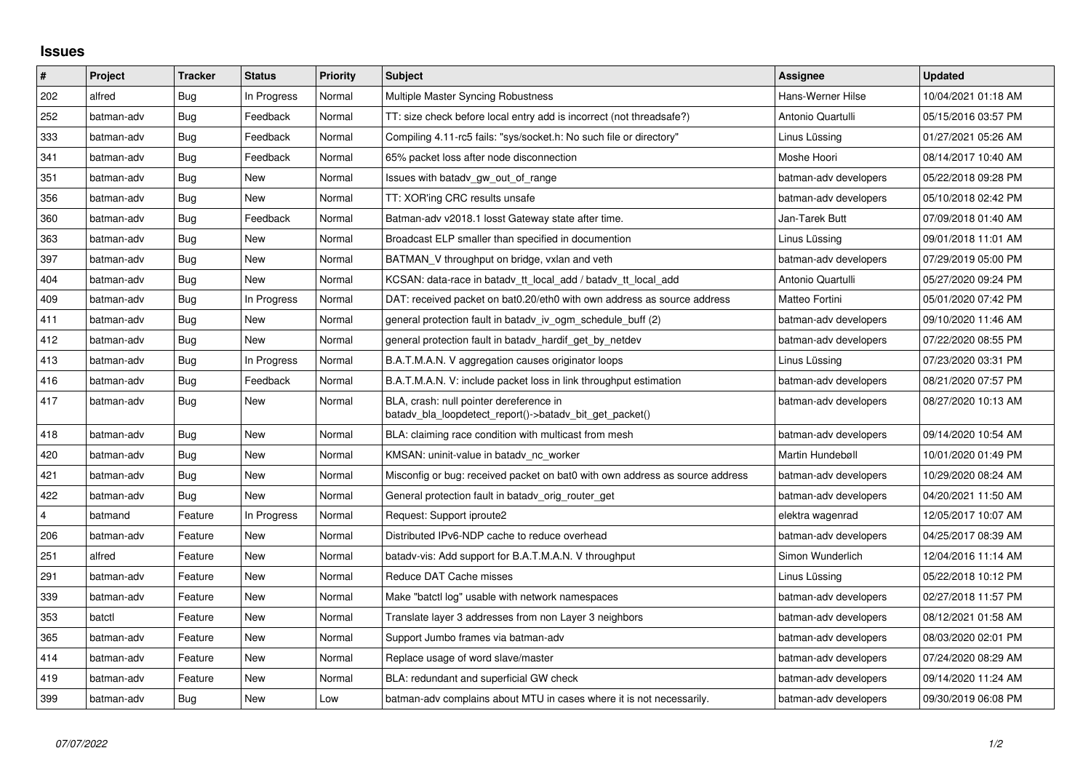## **Issues**

| $\vert$ # | Project    | <b>Tracker</b> | <b>Status</b> | <b>Priority</b> | <b>Subject</b>                                                                                     | Assignee              | <b>Updated</b>      |
|-----------|------------|----------------|---------------|-----------------|----------------------------------------------------------------------------------------------------|-----------------------|---------------------|
| 202       | alfred     | Bug            | In Progress   | Normal          | Multiple Master Syncing Robustness                                                                 | Hans-Werner Hilse     | 10/04/2021 01:18 AM |
| 252       | batman-adv | Bug            | Feedback      | Normal          | TT: size check before local entry add is incorrect (not threadsafe?)                               | Antonio Quartulli     | 05/15/2016 03:57 PM |
| 333       | batman-adv | <b>Bug</b>     | Feedback      | Normal          | Compiling 4.11-rc5 fails: "sys/socket.h: No such file or directory"                                | Linus Lüssing         | 01/27/2021 05:26 AM |
| 341       | batman-adv | <b>Bug</b>     | Feedback      | Normal          | 65% packet loss after node disconnection                                                           | Moshe Hoori           | 08/14/2017 10:40 AM |
| 351       | batman-adv | Bug            | New           | Normal          | Issues with batady gw out of range                                                                 | batman-adv developers | 05/22/2018 09:28 PM |
| 356       | batman-adv | Bug            | <b>New</b>    | Normal          | TT: XOR'ing CRC results unsafe                                                                     | batman-adv developers | 05/10/2018 02:42 PM |
| 360       | batman-adv | Bug            | Feedback      | Normal          | Batman-adv v2018.1 losst Gateway state after time.                                                 | Jan-Tarek Butt        | 07/09/2018 01:40 AM |
| 363       | batman-adv | <b>Bug</b>     | <b>New</b>    | Normal          | Broadcast ELP smaller than specified in documention                                                | Linus Lüssing         | 09/01/2018 11:01 AM |
| 397       | batman-adv | Bug            | New           | Normal          | BATMAN V throughput on bridge, vxlan and veth                                                      | batman-adv developers | 07/29/2019 05:00 PM |
| 404       | batman-adv | Bug            | <b>New</b>    | Normal          | KCSAN: data-race in batady tt local add / batady tt local add                                      | Antonio Quartulli     | 05/27/2020 09:24 PM |
| 409       | batman-adv | <b>Bug</b>     | In Progress   | Normal          | DAT: received packet on bat0.20/eth0 with own address as source address                            | Matteo Fortini        | 05/01/2020 07:42 PM |
| 411       | batman-adv | <b>Bug</b>     | New           | Normal          | general protection fault in batadv_iv_ogm_schedule_buff (2)                                        | batman-adv developers | 09/10/2020 11:46 AM |
| 412       | batman-adv | <b>Bug</b>     | New           | Normal          | general protection fault in batady_hardif_get_by_netdev                                            | batman-adv developers | 07/22/2020 08:55 PM |
| 413       | batman-adv | <b>Bug</b>     | In Progress   | Normal          | B.A.T.M.A.N. V aggregation causes originator loops                                                 | Linus Lüssing         | 07/23/2020 03:31 PM |
| 416       | batman-adv | <b>Bug</b>     | Feedback      | Normal          | B.A.T.M.A.N. V: include packet loss in link throughput estimation                                  | batman-adv developers | 08/21/2020 07:57 PM |
| 417       | batman-adv | Bug            | New           | Normal          | BLA, crash: null pointer dereference in<br>batadv_bla_loopdetect_report()->batadv_bit_get_packet() | batman-adv developers | 08/27/2020 10:13 AM |
| 418       | batman-adv | Bug            | <b>New</b>    | Normal          | BLA: claiming race condition with multicast from mesh                                              | batman-adv developers | 09/14/2020 10:54 AM |
| 420       | batman-adv | Bug            | New           | Normal          | KMSAN: uninit-value in batady nc worker                                                            | Martin Hundebøll      | 10/01/2020 01:49 PM |
| 421       | batman-adv | Bug            | New           | Normal          | Misconfig or bug: received packet on bat0 with own address as source address                       | batman-adv developers | 10/29/2020 08:24 AM |
| 422       | batman-adv | Bug            | New           | Normal          | General protection fault in batady_orig_router_get                                                 | batman-adv developers | 04/20/2021 11:50 AM |
| 4         | batmand    | Feature        | In Progress   | Normal          | Request: Support iproute2                                                                          | elektra wagenrad      | 12/05/2017 10:07 AM |
| 206       | batman-adv | Feature        | New           | Normal          | Distributed IPv6-NDP cache to reduce overhead                                                      | batman-adv developers | 04/25/2017 08:39 AM |
| 251       | alfred     | Feature        | <b>New</b>    | Normal          | batady-vis: Add support for B.A.T.M.A.N. V throughput                                              | Simon Wunderlich      | 12/04/2016 11:14 AM |
| 291       | batman-adv | Feature        | <b>New</b>    | Normal          | Reduce DAT Cache misses                                                                            | Linus Lüssing         | 05/22/2018 10:12 PM |
| 339       | batman-adv | Feature        | New           | Normal          | Make "batctl log" usable with network namespaces                                                   | batman-adv developers | 02/27/2018 11:57 PM |
| 353       | batctl     | Feature        | New           | Normal          | Translate layer 3 addresses from non Layer 3 neighbors                                             | batman-adv developers | 08/12/2021 01:58 AM |
| 365       | batman-adv | Feature        | New           | Normal          | Support Jumbo frames via batman-adv                                                                | batman-adv developers | 08/03/2020 02:01 PM |
| 414       | batman-adv | Feature        | New           | Normal          | Replace usage of word slave/master                                                                 | batman-adv developers | 07/24/2020 08:29 AM |
| 419       | batman-adv | Feature        | New           | Normal          | BLA: redundant and superficial GW check                                                            | batman-adv developers | 09/14/2020 11:24 AM |
| 399       | batman-adv | Bug            | New           | Low             | batman-adv complains about MTU in cases where it is not necessarily.                               | batman-adv developers | 09/30/2019 06:08 PM |